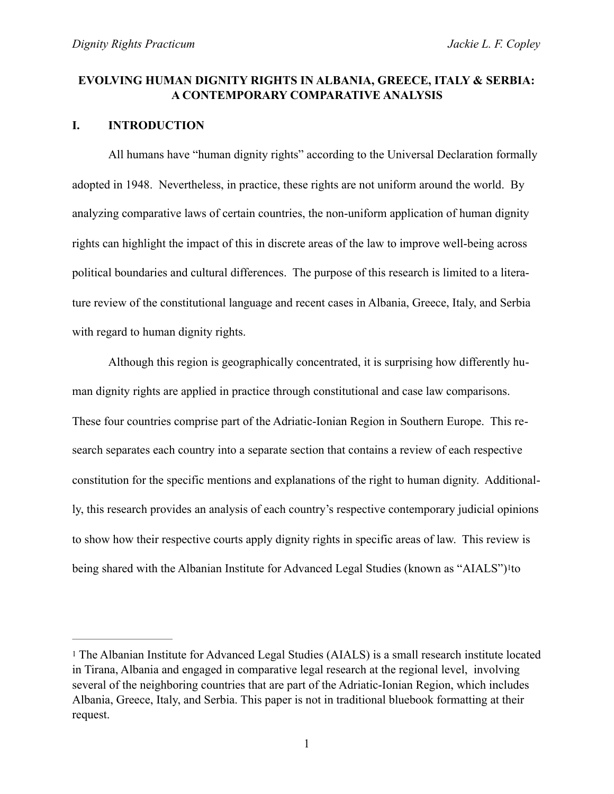## **EVOLVING HUMAN DIGNITY RIGHTS IN ALBANIA, GREECE, ITALY & SERBIA: A CONTEMPORARY COMPARATIVE ANALYSIS**

### **I. INTRODUCTION**

 All humans have "human dignity rights" according to the Universal Declaration formally adopted in 1948. Nevertheless, in practice, these rights are not uniform around the world. By analyzing comparative laws of certain countries, the non-uniform application of human dignity rights can highlight the impact of this in discrete areas of the law to improve well-being across political boundaries and cultural differences. The purpose of this research is limited to a literature review of the constitutional language and recent cases in Albania, Greece, Italy, and Serbia with regard to human dignity rights.

Although this region is geographically concentrated, it is surprising how differently human dignity rights are applied in practice through constitutional and case law comparisons. These four countries comprise part of the Adriatic-Ionian Region in Southern Europe. This research separates each country into a separate section that contains a review of each respective constitution for the specific mentions and explanations of the right to human dignity. Additionally, this research provides an analysis of each country's respective contemporary judicial opinions to show how their respective courts apply dignity rights in specific areas of law. This review is being shared with the Albanian Institute for Advanced Legal Studies (known as "AIALS")[1t](#page-0-0)o

<span id="page-0-1"></span><span id="page-0-0"></span>[<sup>1</sup>](#page-0-1) The Albanian Institute for Advanced Legal Studies (AIALS) is a small research institute located in Tirana, Albania and engaged in comparative legal research at the regional level, involving several of the neighboring countries that are part of the Adriatic-Ionian Region, which includes Albania, Greece, Italy, and Serbia. This paper is not in traditional bluebook formatting at their request.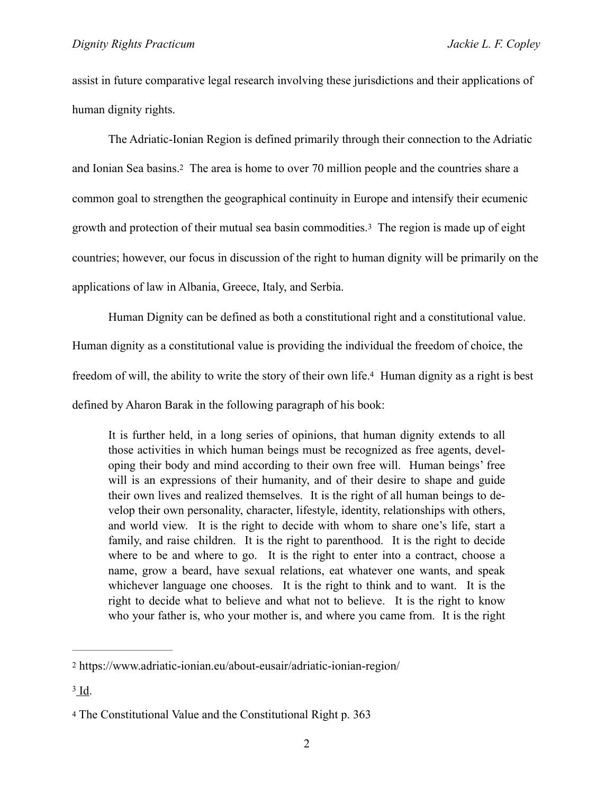assist in future comparative legal research involving these jurisdictions and their applications of human dignity rights.

<span id="page-1-4"></span><span id="page-1-3"></span> The Adriatic-Ionian Region is defined primarily through their connection to the Adriatic and Ionian Sea basins[.2](#page-1-0) The area is home to over 70 million people and the countries share a common goal to strengthen the geographical continuity in Europe and intensify their ecumenic growth and protection of their mutual sea basin commodities.[3](#page-1-1) The region is made up of eight countries; however, our focus in discussion of the right to human dignity will be primarily on the applications of law in Albania, Greece, Italy, and Serbia.

 Human Dignity can be defined as both a constitutional right and a constitutional value. Human dignity as a constitutional value is providing the individual the freedom of choice, the freedom of will, the ability to write the story of their own life[.](#page-1-2)<sup>[4](#page-1-2)</sup> Human dignity as a right is best defined by Aharon Barak in the following paragraph of his book:

<span id="page-1-5"></span>It is further held, in a long series of opinions, that human dignity extends to all those activities in which human beings must be recognized as free agents, developing their body and mind according to their own free will. Human beings' free will is an expressions of their humanity, and of their desire to shape and guide their own lives and realized themselves. It is the right of all human beings to develop their own personality, character, lifestyle, identity, relationships with others, and world view. It is the right to decide with whom to share one's life, start a family, and raise children. It is the right to parenthood. It is the right to decide where to be and where to go. It is the right to enter into a contract, choose a name, grow a beard, have sexual relations, eat whatever one wants, and speak whichever language one chooses. It is the right to think and to want. It is the right to decide what to believe and what not to believe. It is the right to know who your father is, who your mother is, and where you came from. It is the right

<span id="page-1-0"></span>[<sup>2</sup>](#page-1-3) https://www.adriatic-ionian.eu/about-eusair/adriatic-ionian-region/

<span id="page-1-1"></span> $3$  Id.

<span id="page-1-2"></span>[<sup>4</sup>](#page-1-5) The Constitutional Value and the Constitutional Right p. 363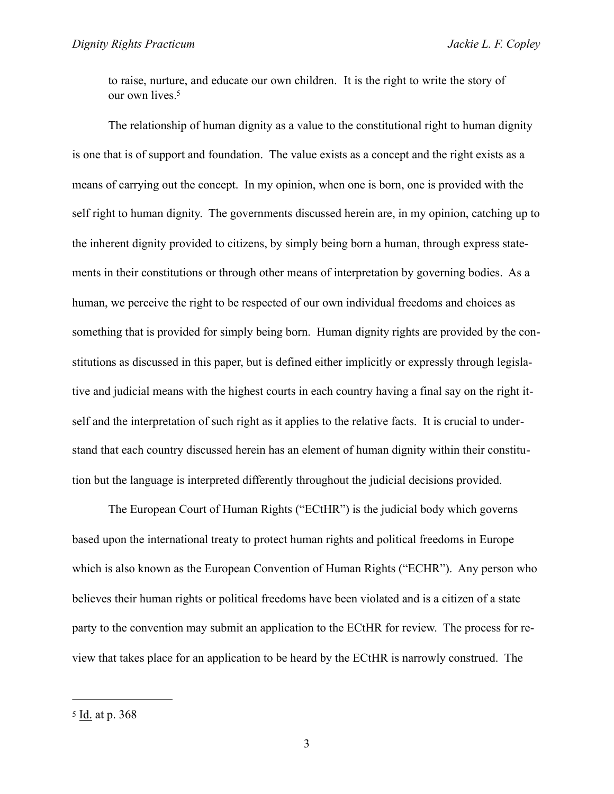<span id="page-2-1"></span>to raise, nurture, and educate our own children. It is the right to write the story of our own lives.<sup>5</sup>

 The relationship of human dignity as a value to the constitutional right to human dignity is one that is of support and foundation. The value exists as a concept and the right exists as a means of carrying out the concept. In my opinion, when one is born, one is provided with the self right to human dignity. The governments discussed herein are, in my opinion, catching up to the inherent dignity provided to citizens, by simply being born a human, through express statements in their constitutions or through other means of interpretation by governing bodies. As a human, we perceive the right to be respected of our own individual freedoms and choices as something that is provided for simply being born. Human dignity rights are provided by the constitutions as discussed in this paper, but is defined either implicitly or expressly through legislative and judicial means with the highest courts in each country having a final say on the right itself and the interpretation of such right as it applies to the relative facts. It is crucial to understand that each country discussed herein has an element of human dignity within their constitution but the language is interpreted differently throughout the judicial decisions provided.

The European Court of Human Rights ("ECtHR") is the judicial body which governs based upon the international treaty to protect human rights and political freedoms in Europe which is also known as the European Convention of Human Rights ("ECHR"). Any person who believes their human rights or political freedoms have been violated and is a citizen of a state party to the convention may submit an application to the ECtHR for review. The process for review that takes place for an application to be heard by the ECtHR is narrowly construed. The

<span id="page-2-0"></span>[<sup>5</sup>](#page-2-1) Id. at p. 368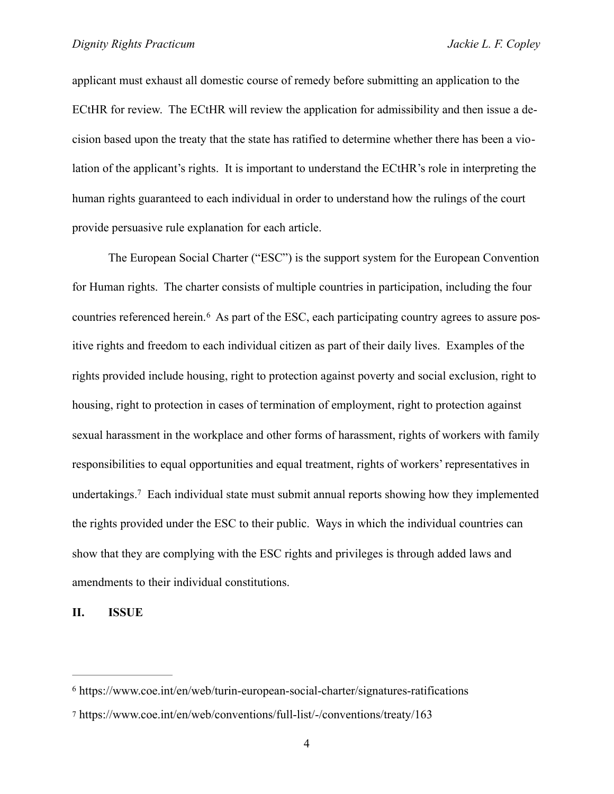applicant must exhaust all domestic course of remedy before submitting an application to the ECtHR for review. The ECtHR will review the application for admissibility and then issue a decision based upon the treaty that the state has ratified to determine whether there has been a violation of the applicant's rights. It is important to understand the ECtHR's role in interpreting the human rights guaranteed to each individual in order to understand how the rulings of the court provide persuasive rule explanation for each article.

<span id="page-3-2"></span> The European Social Charter ("ESC") is the support system for the European Convention for Human rights. The charter consists of multiple countries in participation, including the four countriesreferenced herein.<sup>6</sup> As part of the ESC, each participating country agrees to assure positive rights and freedom to each individual citizen as part of their daily lives. Examples of the rights provided include housing, right to protection against poverty and social exclusion, right to housing, right to protection in cases of termination of employment, right to protection against sexual harassment in the workplace and other forms of harassment, rights of workers with family responsibilities to equal opportunities and equal treatment, rights of workers' representatives in undertakings.<sup>7</sup>Each individual state must submit annual reports showing how they implemented the rights provided under the ESC to their public. Ways in which the individual countries can show that they are complying with the ESC rights and privileges is through added laws and amendments to their individual constitutions.

<span id="page-3-3"></span>**II. ISSUE** 

<span id="page-3-0"></span> $6$  https://www.coe.int/en/web/turin-european-social-charter/signatures-ratifications

<span id="page-3-1"></span>[<sup>7</sup>](#page-3-3) https://www.coe.int/en/web/conventions/full-list/-/conventions/treaty/163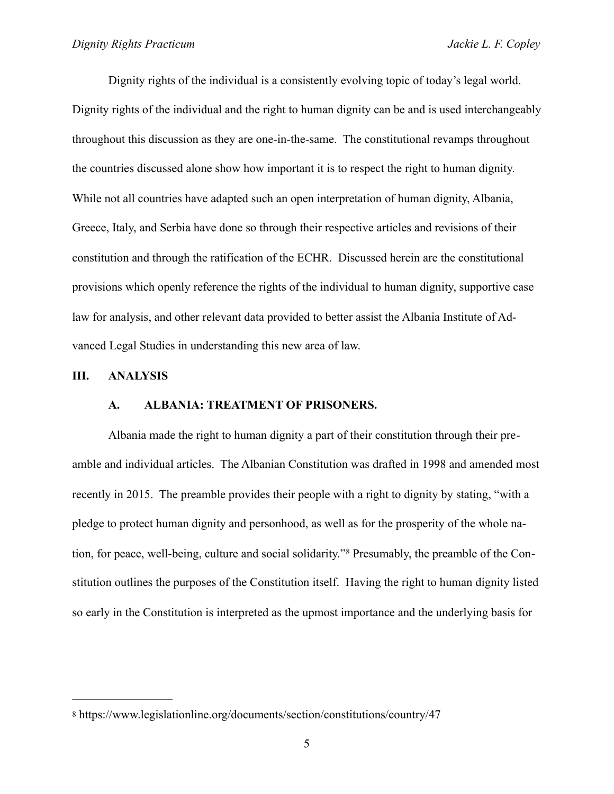Dignity rights of the individual is a consistently evolving topic of today's legal world. Dignity rights of the individual and the right to human dignity can be and is used interchangeably throughout this discussion as they are one-in-the-same. The constitutional revamps throughout the countries discussed alone show how important it is to respect the right to human dignity. While not all countries have adapted such an open interpretation of human dignity, Albania, Greece, Italy, and Serbia have done so through their respective articles and revisions of their constitution and through the ratification of the ECHR. Discussed herein are the constitutional provisions which openly reference the rights of the individual to human dignity, supportive case law for analysis, and other relevant data provided to better assist the Albania Institute of Advanced Legal Studies in understanding this new area of law.

#### **III. ANALYSIS**

#### <span id="page-4-1"></span>**A. ALBANIA: TREATMENT OF PRISONERS.**

Albania made the right to human dignity a part of their constitution through their preamble and individual articles. The Albanian Constitution was drafted in 1998 and amended most recently in 2015. The preamble provides their people with a right to dignity by stating, "with a pledge to protect human dignity and personhood, as well as for the prosperity of the whole nation, for peace, well-being, culture and social solidarity."[8](#page-4-0) Presumably, the preamble of the Constitution outlines the purposes of the Constitution itself. Having the right to human dignity listed so early in the Constitution is interpreted as the upmost importance and the underlying basis for

<span id="page-4-0"></span>[<sup>8</sup>](#page-4-1) https://www.legislationline.org/documents/section/constitutions/country/47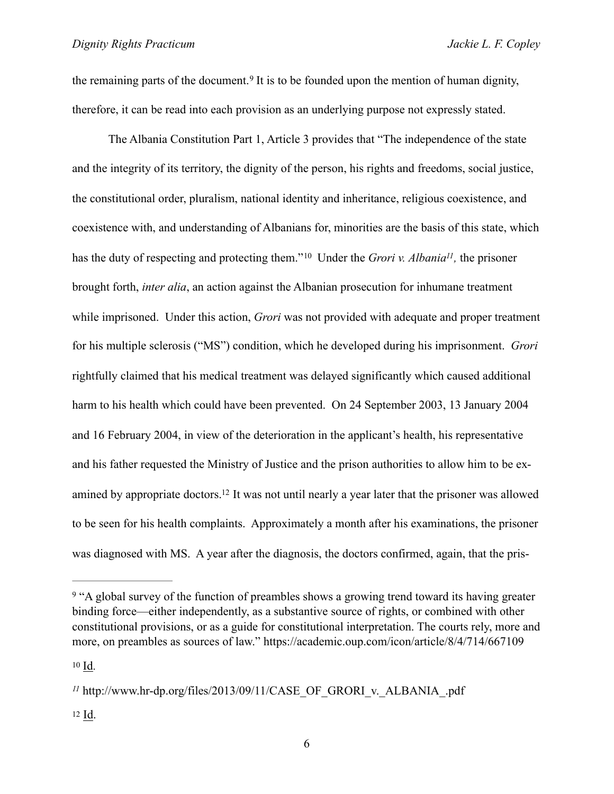<span id="page-5-4"></span>theremaining parts of the document.<sup>[9](#page-5-0)</sup> It is to be founded upon the mention of human dignity, therefore, it can be read into each provision as an underlying purpose not expressly stated.

<span id="page-5-6"></span><span id="page-5-5"></span>The Albania Constitution Part 1, Article 3 provides that "The independence of the state and the integrity of its territory, the dignity of the person, his rights and freedoms, social justice, the constitutional order, pluralism, national identity and inheritance, religious coexistence, and coexistence with, and understanding of Albanians for, minorities are the basis of this state, which hasthe duty of respecting and protecting them."<sup>10</sup> Under the *Grori v. Albania<sup>11</sup>*, the prisoner brought forth, *inter alia*, an action against the Albanian prosecution for inhumane treatment while imprisoned. Under this action, *Grori* was not provided with adequate and proper treatment for his multiple sclerosis ("MS") condition, which he developed during his imprisonment. *Grori* rightfully claimed that his medical treatment was delayed significantly which caused additional harm to his health which could have been prevented. On 24 September 2003, 13 January 2004 and 16 February 2004, in view of the deterioration in the applicant's health, his representative and his father requested the Ministry of Justice and the prison authorities to allow him to be ex-amined by appropriate doctors[.](#page-5-3)<sup>[12](#page-5-3)</sup> It was not until nearly a year later that the prisoner was allowed to be seen for his health complaints. Approximately a month after his examinations, the prisoner was diagnosed with MS. A year after the diagnosis, the doctors confirmed, again, that the pris-

<span id="page-5-7"></span><span id="page-5-0"></span><sup>&</sup>lt;sup>[9](#page-5-4)</sup> "A global survey of the function of preambles shows a growing trend toward its having greater binding force—either independently, as a substantive source of rights, or combined with other constitutional provisions, or as a guide for constitutional interpretation. The courts rely, more and more, on preambles as sources of law." https://academic.oup.com/icon/article/8/4/714/667109

<span id="page-5-1"></span>[<sup>10</sup>](#page-5-5) Id.

<span id="page-5-3"></span><span id="page-5-2"></span> $11$  http://www.hr-dp.org/files/2013/09/11/CASE\_OF\_GRORI\_v.\_ALBANIA\_.pdf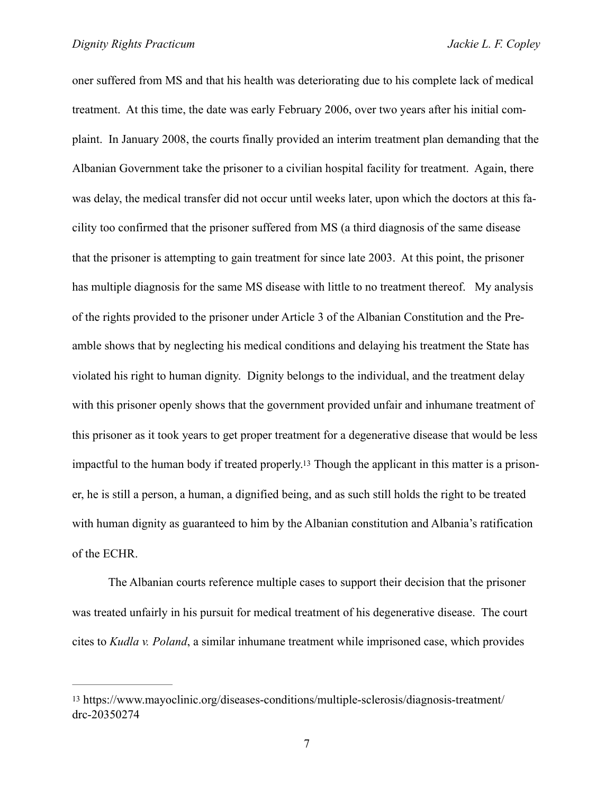oner suffered from MS and that his health was deteriorating due to his complete lack of medical treatment. At this time, the date was early February 2006, over two years after his initial complaint. In January 2008, the courts finally provided an interim treatment plan demanding that the Albanian Government take the prisoner to a civilian hospital facility for treatment. Again, there was delay, the medical transfer did not occur until weeks later, upon which the doctors at this facility too confirmed that the prisoner suffered from MS (a third diagnosis of the same disease that the prisoner is attempting to gain treatment for since late 2003. At this point, the prisoner has multiple diagnosis for the same MS disease with little to no treatment thereof. My analysis of the rights provided to the prisoner under Article 3 of the Albanian Constitution and the Preamble shows that by neglecting his medical conditions and delaying his treatment the State has violated his right to human dignity. Dignity belongs to the individual, and the treatment delay with this prisoner openly shows that the government provided unfair and inhumane treatment of this prisoner as it took years to get proper treatment for a degenerative disease that would be less impactful to the human body if treated properly[.13](#page-6-0) Though the applicant in this matter is a prisoner, he is still a person, a human, a dignified being, and as such still holds the right to be treated with human dignity as guaranteed to him by the Albanian constitution and Albania's ratification of the ECHR.

<span id="page-6-1"></span> The Albanian courts reference multiple cases to support their decision that the prisoner was treated unfairly in his pursuit for medical treatment of his degenerative disease. The court cites to *Kudla v. Poland*, a similar inhumane treatment while imprisoned case, which provides

<span id="page-6-0"></span>[<sup>13</sup>](#page-6-1) https://www.mayoclinic.org/diseases-conditions/multiple-sclerosis/diagnosis-treatment/ drc-20350274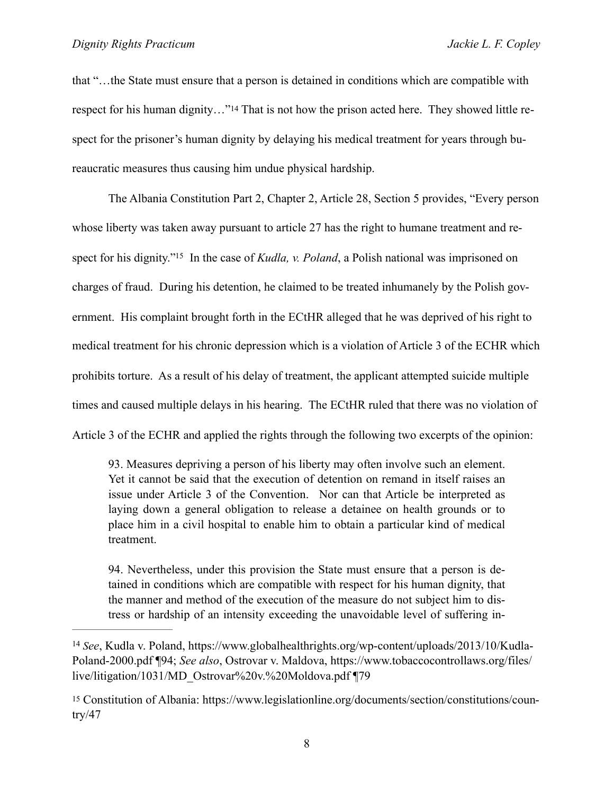<span id="page-7-2"></span>that "…the State must ensure that a person is detained in conditions which are compatible with respect for his human dignity…"[14](#page-7-0) That is not how the prison acted here. They showed little respect for the prisoner's human dignity by delaying his medical treatment for years through bureaucratic measures thus causing him undue physical hardship.

<span id="page-7-3"></span>The Albania Constitution Part 2, Chapter 2, Article 28, Section 5 provides, "Every person whose liberty was taken away pursuant to article 27 has the right to humane treatment and re-spect for his dignity.["](#page-7-1)<sup>15</sup> In the case of *Kudla, v. Poland*, a Polish national was imprisoned on charges of fraud. During his detention, he claimed to be treated inhumanely by the Polish government. His complaint brought forth in the ECtHR alleged that he was deprived of his right to medical treatment for his chronic depression which is a violation of Article 3 of the ECHR which prohibits torture. As a result of his delay of treatment, the applicant attempted suicide multiple times and caused multiple delays in his hearing. The ECtHR ruled that there was no violation of Article 3 of the ECHR and applied the rights through the following two excerpts of the opinion:

93. Measures depriving a person of his liberty may often involve such an element. Yet it cannot be said that the execution of detention on remand in itself raises an issue under Article 3 of the Convention. Nor can that Article be interpreted as laying down a general obligation to release a detainee on health grounds or to place him in a civil hospital to enable him to obtain a particular kind of medical treatment.

94. Nevertheless, under this provision the State must ensure that a person is detained in conditions which are compatible with respect for his human dignity, that the manner and method of the execution of the measure do not subject him to distress or hardship of an intensity exceeding the unavoidable level of suffering in-

<span id="page-7-0"></span><sup>&</sup>lt;sup>[14](#page-7-2)</sup> See, Kudla v. Poland, https://www.globalhealthrights.org/wp-content/uploads/2013/10/Kudla-Poland-2000.pdf ¶94; *See also*, Ostrovar v. Maldova, https://www.tobaccocontrollaws.org/files/ live/litigation/1031/MD\_Ostrovar%20v.%20Moldova.pdf ¶79

<span id="page-7-1"></span>[<sup>15</sup>](#page-7-3) Constitution of Albania: https://www.legislationline.org/documents/section/constitutions/coun $try/47$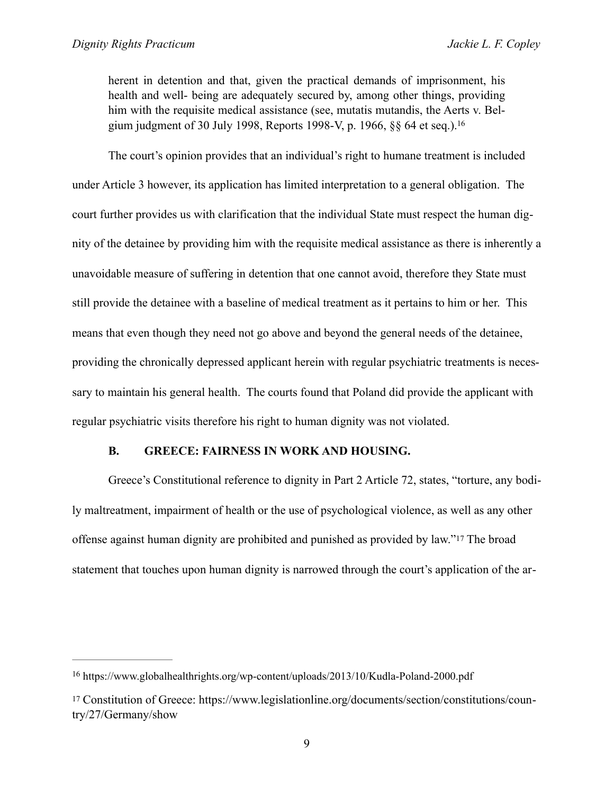<span id="page-8-2"></span>herent in detention and that, given the practical demands of imprisonment, his health and well- being are adequately secured by, among other things, providing him with the requisite medical assistance (see, mutatis mutandis, the Aerts v. Belgium judgment of 30 July 1998, Reports 1998-V, p. 1966, §§ 64 et seq.)[.16](#page-8-0)

The court's opinion provides that an individual's right to humane treatment is included under Article 3 however, its application has limited interpretation to a general obligation. The court further provides us with clarification that the individual State must respect the human dignity of the detainee by providing him with the requisite medical assistance as there is inherently a unavoidable measure of suffering in detention that one cannot avoid, therefore they State must still provide the detainee with a baseline of medical treatment as it pertains to him or her. This means that even though they need not go above and beyond the general needs of the detainee, providing the chronically depressed applicant herein with regular psychiatric treatments is necessary to maintain his general health. The courts found that Poland did provide the applicant with regular psychiatric visits therefore his right to human dignity was not violated.

#### <span id="page-8-3"></span>**B. GREECE: FAIRNESS IN WORK AND HOUSING.**

Greece's Constitutional reference to dignity in Part 2 Article 72, states, "torture, any bodily maltreatment, impairment of health or the use of psychological violence, as well as any other offense against human dignity are prohibited and punished as provided by law."[17](#page-8-1) The broad statement that touches upon human dignity is narrowed through the court's application of the ar-

<span id="page-8-0"></span><sup>&</sup>lt;sup>[16](#page-8-2)</sup> https://www.globalhealthrights.org/wp-content/uploads/2013/10/Kudla-Poland-2000.pdf

<span id="page-8-1"></span>[<sup>17</sup>](#page-8-3) Constitution of Greece: https://www.legislationline.org/documents/section/constitutions/country/27/Germany/show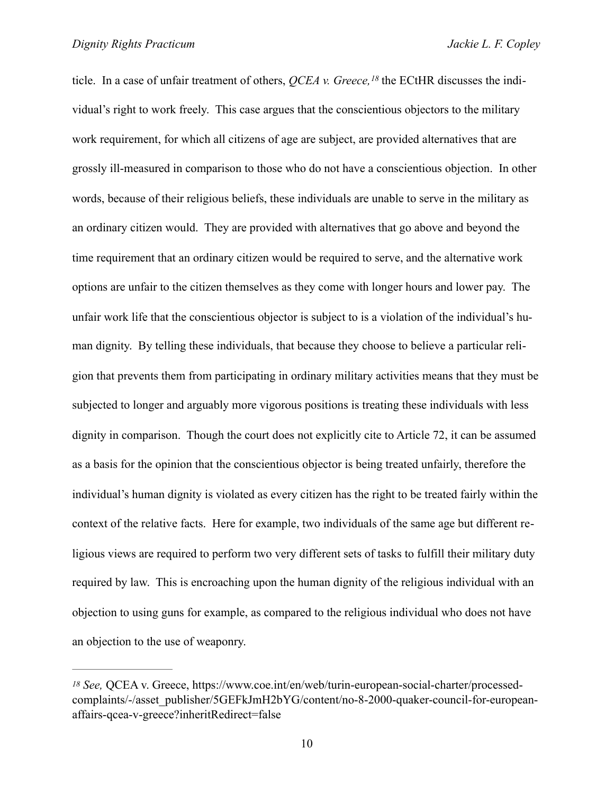<span id="page-9-1"></span>ticle. In a case of unfair treatment of others, *QCEA v. Greece*, <sup>[18](#page-9-0)</sup> the ECtHR discusses the individual's right to work freely. This case argues that the conscientious objectors to the military work requirement, for which all citizens of age are subject, are provided alternatives that are grossly ill-measured in comparison to those who do not have a conscientious objection. In other words, because of their religious beliefs, these individuals are unable to serve in the military as an ordinary citizen would. They are provided with alternatives that go above and beyond the time requirement that an ordinary citizen would be required to serve, and the alternative work options are unfair to the citizen themselves as they come with longer hours and lower pay. The unfair work life that the conscientious objector is subject to is a violation of the individual's human dignity. By telling these individuals, that because they choose to believe a particular religion that prevents them from participating in ordinary military activities means that they must be subjected to longer and arguably more vigorous positions is treating these individuals with less dignity in comparison. Though the court does not explicitly cite to Article 72, it can be assumed as a basis for the opinion that the conscientious objector is being treated unfairly, therefore the individual's human dignity is violated as every citizen has the right to be treated fairly within the context of the relative facts. Here for example, two individuals of the same age but different religious views are required to perform two very different sets of tasks to fulfill their military duty required by law. This is encroaching upon the human dignity of the religious individual with an objection to using guns for example, as compared to the religious individual who does not have an objection to the use of weaponry.

<span id="page-9-0"></span>*[<sup>18</sup>](#page-9-1) See,* QCEA v. Greece, https://www.coe.int/en/web/turin-european-social-charter/processedcomplaints/-/asset\_publisher/5GEFkJmH2bYG/content/no-8-2000-quaker-council-for-europeanaffairs-qcea-v-greece?inheritRedirect=false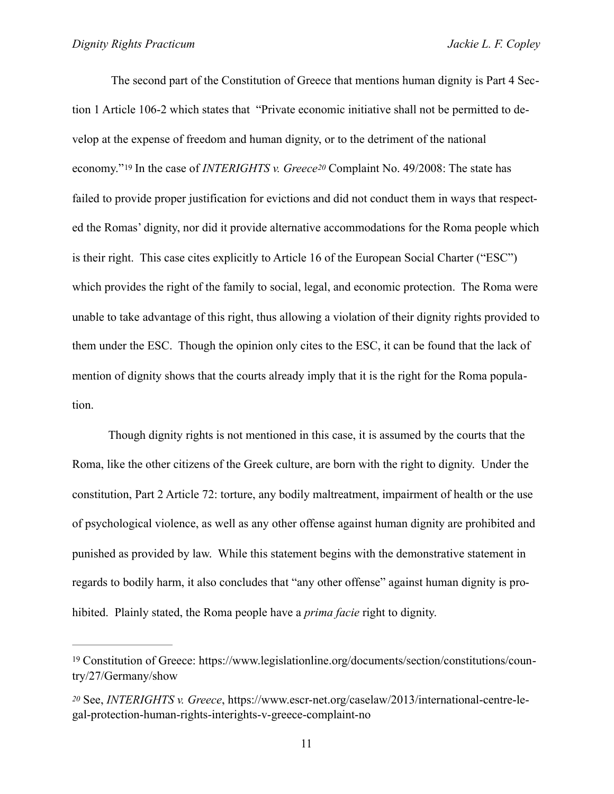<span id="page-10-3"></span><span id="page-10-2"></span> The second part of the Constitution of Greece that mentions human dignity is Part 4 Section 1 Article 106-2 which states that "Private economic initiative shall not be permitted to develop at the expense of freedom and human dignity, or to the detriment of the national economy."[19](#page-10-0) In the case of *INTERIGHTS v. Greece[20](#page-10-1)* Complaint No. 49/2008: The state has failed to provide proper justification for evictions and did not conduct them in ways that respected the Romas' dignity, nor did it provide alternative accommodations for the Roma people which is their right. This case cites explicitly to Article 16 of the European Social Charter ("ESC") which provides the right of the family to social, legal, and economic protection. The Roma were unable to take advantage of this right, thus allowing a violation of their dignity rights provided to them under the ESC. Though the opinion only cites to the ESC, it can be found that the lack of mention of dignity shows that the courts already imply that it is the right for the Roma population.

 Though dignity rights is not mentioned in this case, it is assumed by the courts that the Roma, like the other citizens of the Greek culture, are born with the right to dignity. Under the constitution, Part 2 Article 72: torture, any bodily maltreatment, impairment of health or the use of psychological violence, as well as any other offense against human dignity are prohibited and punished as provided by law. While this statement begins with the demonstrative statement in regards to bodily harm, it also concludes that "any other offense" against human dignity is prohibited. Plainly stated, the Roma people have a *prima facie* right to dignity.

<span id="page-10-0"></span>[<sup>19</sup>](#page-10-2) Constitution of Greece: https://www.legislationline.org/documents/section/constitutions/country/27/Germany/show

<span id="page-10-1"></span>*[<sup>20</sup>](#page-10-3)* See, *INTERIGHTS v. Greece*, https://www.escr-net.org/caselaw/2013/international-centre-legal-protection-human-rights-interights-v-greece-complaint-no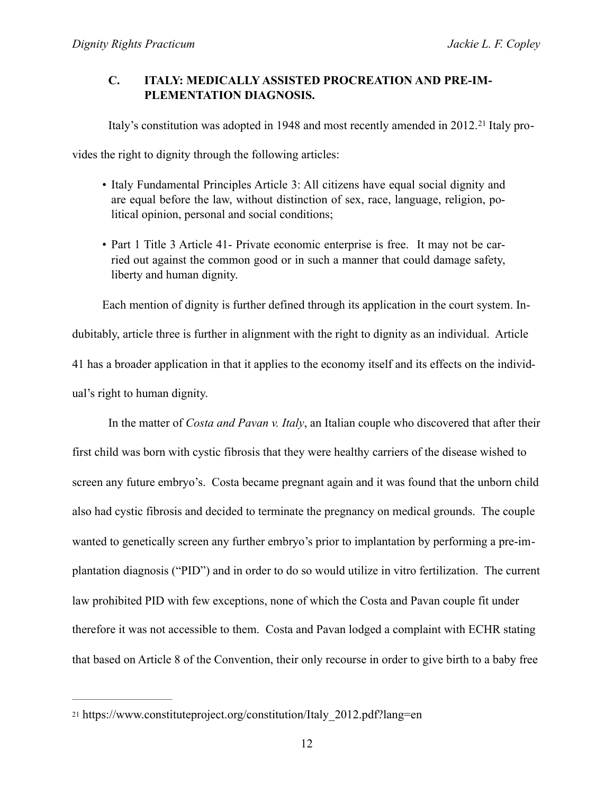## **C. ITALY: MEDICALLY ASSISTED PROCREATION AND PRE-IM-PLEMENTATION DIAGNOSIS.**

<span id="page-11-1"></span>Italy's constitution was adopted in 1948 and most recently amended in 2012.[21](#page-11-0) Italy pro-

vides the right to dignity through the following articles:

- Italy Fundamental Principles Article 3: All citizens have equal social dignity and are equal before the law, without distinction of sex, race, language, religion, political opinion, personal and social conditions;
- Part 1 Title 3 Article 41- Private economic enterprise is free. It may not be carried out against the common good or in such a manner that could damage safety, liberty and human dignity.

Each mention of dignity is further defined through its application in the court system. Indubitably, article three is further in alignment with the right to dignity as an individual. Article 41 has a broader application in that it applies to the economy itself and its effects on the individual's right to human dignity.

 In the matter of *Costa and Pavan v. Italy*, an Italian couple who discovered that after their first child was born with cystic fibrosis that they were healthy carriers of the disease wished to screen any future embryo's. Costa became pregnant again and it was found that the unborn child also had cystic fibrosis and decided to terminate the pregnancy on medical grounds. The couple wanted to genetically screen any further embryo's prior to implantation by performing a pre-implantation diagnosis ("PID") and in order to do so would utilize in vitro fertilization. The current law prohibited PID with few exceptions, none of which the Costa and Pavan couple fit under therefore it was not accessible to them. Costa and Pavan lodged a complaint with ECHR stating that based on Article 8 of the Convention, their only recourse in order to give birth to a baby free

<span id="page-11-0"></span>[<sup>21</sup>](#page-11-1) https://www.constituteproject.org/constitution/Italy\_2012.pdf?lang=en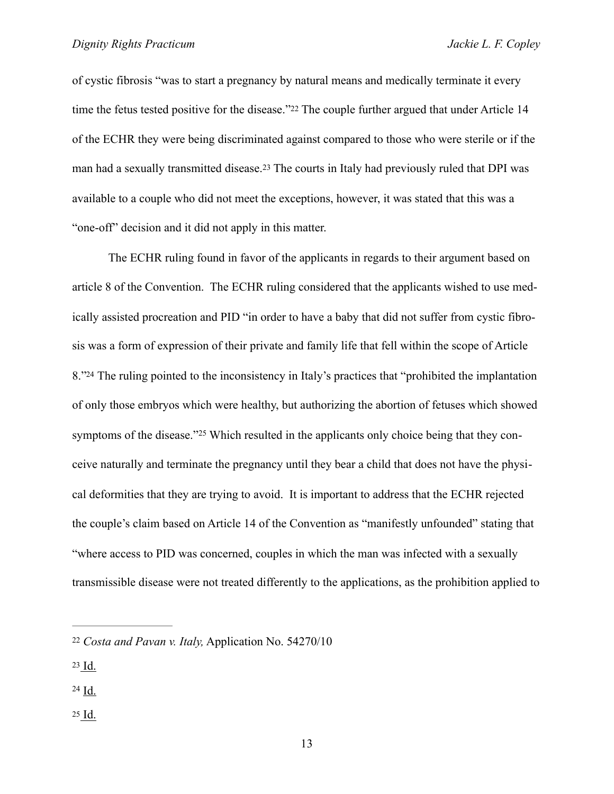<span id="page-12-5"></span><span id="page-12-4"></span>of cystic fibrosis "was to start a pregnancy by natural means and medically terminate it every time the fetus tested positive for the disease."[22](#page-12-0) The couple further argued that under Article 14 of the ECHR they were being discriminated against compared to those who were sterile or if the man had a sexually transmitted disease.[23](#page-12-1) The courts in Italy had previously ruled that DPI was available to a couple who did not meet the exceptions, however, it was stated that this was a "one-off" decision and it did not apply in this matter.

<span id="page-12-7"></span><span id="page-12-6"></span> The ECHR ruling found in favor of the applicants in regards to their argument based on article 8 of the Convention. The ECHR ruling considered that the applicants wished to use medically assisted procreation and PID "in order to have a baby that did not suffer from cystic fibrosis was a form of expression of their private and family life that fell within the scope of Article 8.["](#page-12-2)<sup>[24](#page-12-2)</sup> The ruling pointed to the inconsistency in Italy's practices that "prohibited the implantation" of only those embryos which were healthy, but authorizing the abortion of fetuses which showed symptoms of the disease."<sup>[25](#page-12-3)</sup> Which resulted in the applicants only choice being that they conceive naturally and terminate the pregnancy until they bear a child that does not have the physical deformities that they are trying to avoid. It is important to address that the ECHR rejected the couple's claim based on Article 14 of the Convention as "manifestly unfounded" stating that "where access to PID was concerned, couples in which the man was infected with a sexually transmissible disease were not treated differently to the applications, as the prohibition applied to

- <span id="page-12-1"></span>[23](#page-12-5) Id.
- <span id="page-12-2"></span> $24$  Id.
- <span id="page-12-3"></span> $25$  Id.

<span id="page-12-0"></span>[<sup>22</sup>](#page-12-4) *Costa and Pavan v. Italy,* Application No. 54270/10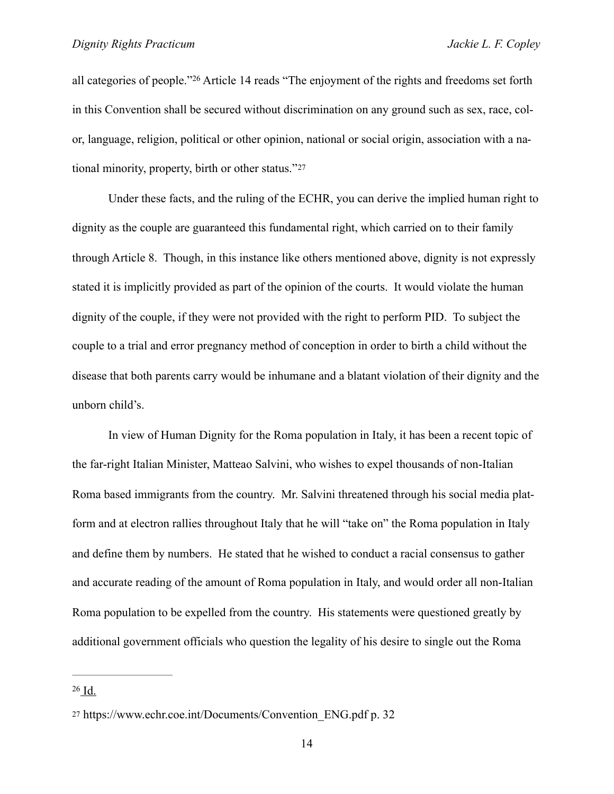<span id="page-13-2"></span>allcategories of people."<sup>[26](#page-13-0)</sup> Article 14 reads "The enjoyment of the rights and freedoms set forth in this Convention shall be secured without discrimination on any ground such as sex, race, color, language, religion, political or other opinion, national or social origin, association with a national minority, property, birth or other status."[27](#page-13-1)

<span id="page-13-3"></span> Under these facts, and the ruling of the ECHR, you can derive the implied human right to dignity as the couple are guaranteed this fundamental right, which carried on to their family through Article 8. Though, in this instance like others mentioned above, dignity is not expressly stated it is implicitly provided as part of the opinion of the courts. It would violate the human dignity of the couple, if they were not provided with the right to perform PID. To subject the couple to a trial and error pregnancy method of conception in order to birth a child without the disease that both parents carry would be inhumane and a blatant violation of their dignity and the unborn child's.

 In view of Human Dignity for the Roma population in Italy, it has been a recent topic of the far-right Italian Minister, Matteao Salvini, who wishes to expel thousands of non-Italian Roma based immigrants from the country. Mr. Salvini threatened through his social media platform and at electron rallies throughout Italy that he will "take on" the Roma population in Italy and define them by numbers. He stated that he wished to conduct a racial consensus to gather and accurate reading of the amount of Roma population in Italy, and would order all non-Italian Roma population to be expelled from the country. His statements were questioned greatly by additional government officials who question the legality of his desire to single out the Roma

<span id="page-13-0"></span> $26$  Id.

<span id="page-13-1"></span>[<sup>27</sup>](#page-13-3) https://www.echr.coe.int/Documents/Convention\_ENG.pdf p. 32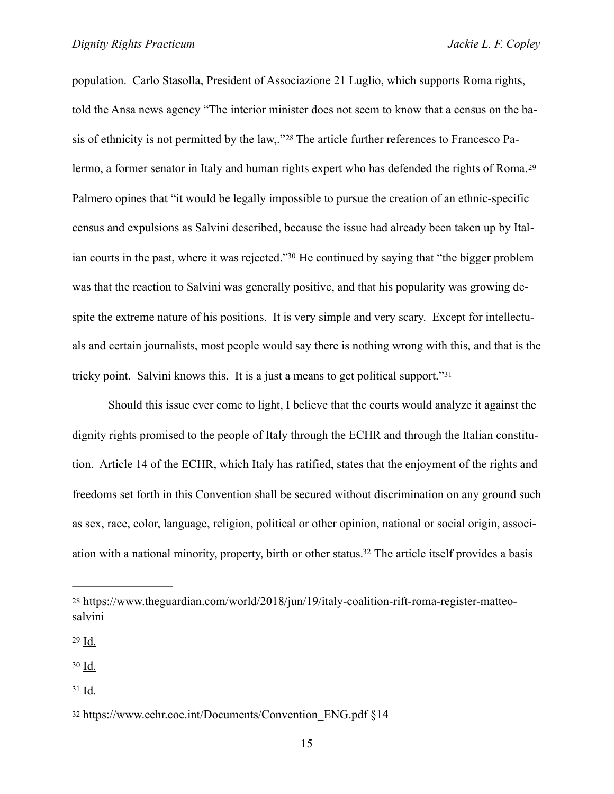<span id="page-14-6"></span><span id="page-14-5"></span>population. Carlo Stasolla, President of Associazione 21 Luglio, which supports Roma rights, told the Ansa news agency "The interior minister does not seem to know that a census on the ba-sis of ethnicity is not permitted by the law,.["](#page-14-0)<sup>28</sup> The article further references to Francesco Palermo, a former senator in Italy and human rights expert who has defended the rights of Roma.[29](#page-14-1) Palmero opines that "it would be legally impossible to pursue the creation of an ethnic-specific census and expulsions as Salvini described, because the issue had already been taken up by Ital-ian courts in the past, where it was rejected.["](#page-14-2)<sup>[30](#page-14-2)</sup> He continued by saying that "the bigger problem was that the reaction to Salvini was generally positive, and that his popularity was growing despite the extreme nature of his positions. It is very simple and very scary. Except for intellectuals and certain journalists, most people would say there is nothing wrong with this, and that is the tricky point. Salvini knows this. It is a just a means to get political support." $31$ 

<span id="page-14-8"></span><span id="page-14-7"></span> Should this issue ever come to light, I believe that the courts would analyze it against the dignity rights promised to the people of Italy through the ECHR and through the Italian constitution. Article 14 of the ECHR, which Italy has ratified, states that the enjoyment of the rights and freedoms set forth in this Convention shall be secured without discrimination on any ground such as sex, race, color, language, religion, political or other opinion, national or social origin, associ-ation with a national minority, property, birth or other status[.](#page-14-4)<sup>[32](#page-14-4)</sup> The article itself provides a basis

<span id="page-14-1"></span> $29$  Id.

<span id="page-14-2"></span> $30 \underline{\text{Id}}$  $30 \underline{\text{Id}}$ .

<span id="page-14-3"></span> $31$  Id.

<span id="page-14-9"></span><span id="page-14-0"></span>[<sup>28</sup>](#page-14-5) https://www.theguardian.com/world/2018/jun/19/italy-coalition-rift-roma-register-matteosalvini

<span id="page-14-4"></span>[<sup>32</sup>](#page-14-9) [https://www.echr.coe.int/Documents/Convention\\_ENG.pdf](https://www.echr.coe.int/Documents/Convention_ENG.pdf) §14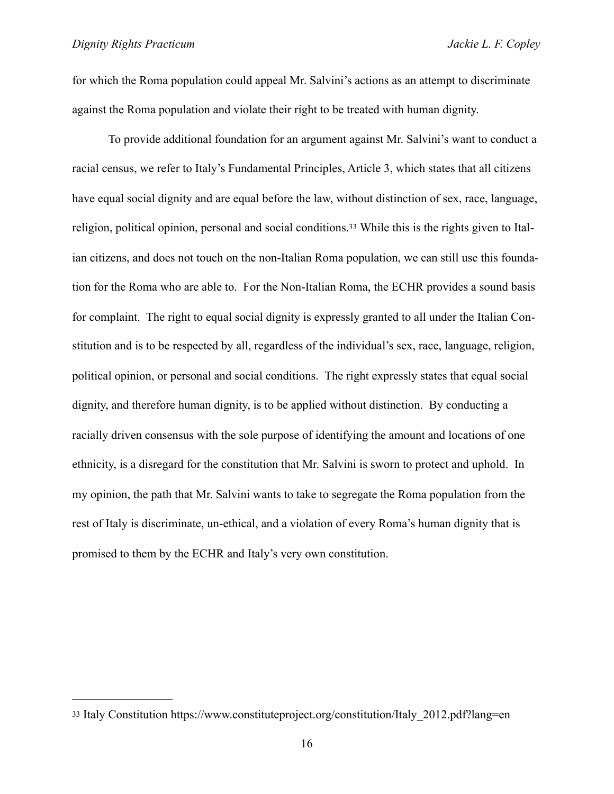for which the Roma population could appeal Mr. Salvini's actions as an attempt to discriminate against the Roma population and violate their right to be treated with human dignity.

<span id="page-15-1"></span> To provide additional foundation for an argument against Mr. Salvini's want to conduct a racial census, we refer to Italy's Fundamental Principles, Article 3, which states that all citizens have equal social dignity and are equal before the law, without distinction of sex, race, language, religion, political opinion, personal and social conditions[.33](#page-15-0) While this is the rights given to Italian citizens, and does not touch on the non-Italian Roma population, we can still use this foundation for the Roma who are able to. For the Non-Italian Roma, the ECHR provides a sound basis for complaint. The right to equal social dignity is expressly granted to all under the Italian Constitution and is to be respected by all, regardless of the individual's sex, race, language, religion, political opinion, or personal and social conditions. The right expressly states that equal social dignity, and therefore human dignity, is to be applied without distinction. By conducting a racially driven consensus with the sole purpose of identifying the amount and locations of one ethnicity, is a disregard for the constitution that Mr. Salvini is sworn to protect and uphold. In my opinion, the path that Mr. Salvini wants to take to segregate the Roma population from the rest of Italy is discriminate, un-ethical, and a violation of every Roma's human dignity that is promised to them by the ECHR and Italy's very own constitution.

<span id="page-15-0"></span>[<sup>33</sup>](#page-15-1) Italy Constitution https://www.constituteproject.org/constitution/Italy\_2012.pdf?lang=en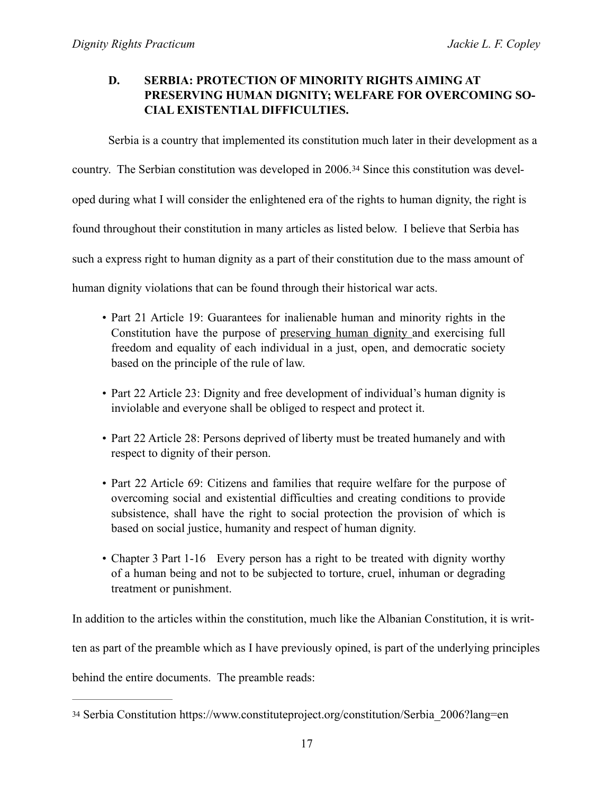# **D. SERBIA: PROTECTION OF MINORITY RIGHTS AIMING AT PRESERVING HUMAN DIGNITY; WELFARE FOR OVERCOMING SO-CIAL EXISTENTIAL DIFFICULTIES.**

<span id="page-16-1"></span>Serbia is a country that implemented its constitution much later in their development as a

country. The Serbian constitution was developed in 2006.[34](#page-16-0) Since this constitution was devel-

oped during what I will consider the enlightened era of the rights to human dignity, the right is

found throughout their constitution in many articles as listed below. I believe that Serbia has

such a express right to human dignity as a part of their constitution due to the mass amount of

human dignity violations that can be found through their historical war acts.

- Part 21 Article 19: Guarantees for inalienable human and minority rights in the Constitution have the purpose of preserving human dignity and exercising full freedom and equality of each individual in a just, open, and democratic society based on the principle of the rule of law.
- Part 22 Article 23: Dignity and free development of individual's human dignity is inviolable and everyone shall be obliged to respect and protect it.
- Part 22 Article 28: Persons deprived of liberty must be treated humanely and with respect to dignity of their person.
- Part 22 Article 69: Citizens and families that require welfare for the purpose of overcoming social and existential difficulties and creating conditions to provide subsistence, shall have the right to social protection the provision of which is based on social justice, humanity and respect of human dignity.
- Chapter 3 Part 1-16 Every person has a right to be treated with dignity worthy of a human being and not to be subjected to torture, cruel, inhuman or degrading treatment or punishment.

In addition to the articles within the constitution, much like the Albanian Constitution, it is writ-

ten as part of the preamble which as I have previously opined, is part of the underlying principles

behind the entire documents. The preamble reads:

<span id="page-16-0"></span>[<sup>34</sup>](#page-16-1) Serbia Constitution https://www.constituteproject.org/constitution/Serbia\_2006?lang=en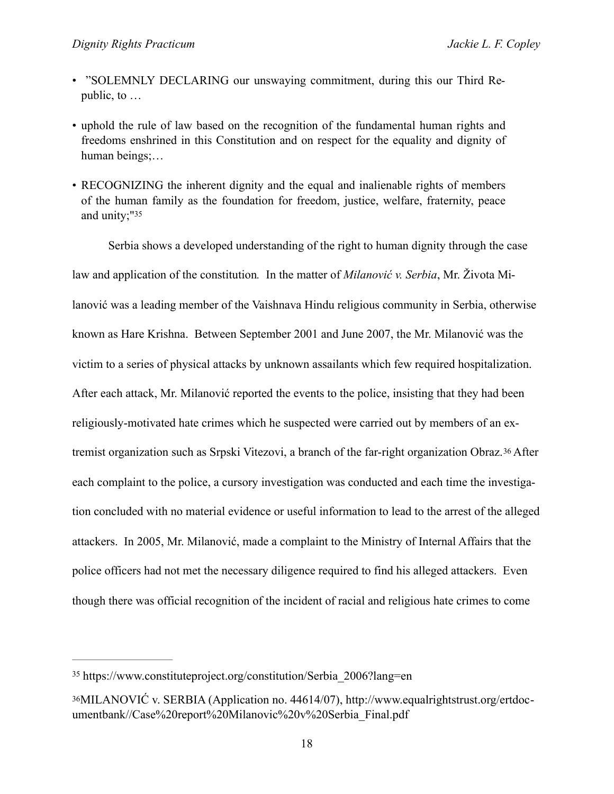- "SOLEMNLY DECLARING our unswaying commitment, during this our Third Republic, to …
- uphold the rule of law based on the recognition of the fundamental human rights and freedoms enshrined in this Constitution and on respect for the equality and dignity of human beings;…
- <span id="page-17-2"></span>• RECOGNIZING the inherent dignity and the equal and inalienable rights of members of the human family as the foundation for freedom, justice, welfare, fraternity, peace and unity;["35](#page-17-0)

<span id="page-17-3"></span>Serbia shows a developed understanding of the right to human dignity through the case law and application of the constitution*.* In the matter of *Milanović v. Serbia*, Mr. Života Milanović was a leading member of the Vaishnava Hindu religious community in Serbia, otherwise known as Hare Krishna. Between September 2001 and June 2007, the Mr. Milanović was the victim to a series of physical attacks by unknown assailants which few required hospitalization. After each attack, Mr. Milanović reported the events to the police, insisting that they had been religiously-motivated hate crimes which he suspected were carried out by members of an extremist organization such as Srpski Vitezovi, a branch of the far-right organization Obraz.[36](#page-17-1) After each complaint to the police, a cursory investigation was conducted and each time the investigation concluded with no material evidence or useful information to lead to the arrest of the alleged attackers. In 2005, Mr. Milanović, made a complaint to the Ministry of Internal Affairs that the police officers had not met the necessary diligence required to find his alleged attackers. Even though there was official recognition of the incident of racial and religious hate crimes to come

<span id="page-17-0"></span>[<sup>35</sup>](#page-17-2) https://www.constituteproject.org/constitution/Serbia\_2006?lang=en

<span id="page-17-1"></span>[<sup>36</sup>](#page-17-3)MILANOVIĆ v. SERBIA (Application no. 44614/07), http://www.equalrightstrust.org/ertdocumentbank//Case%20report%20Milanovic%20v%20Serbia\_Final.pdf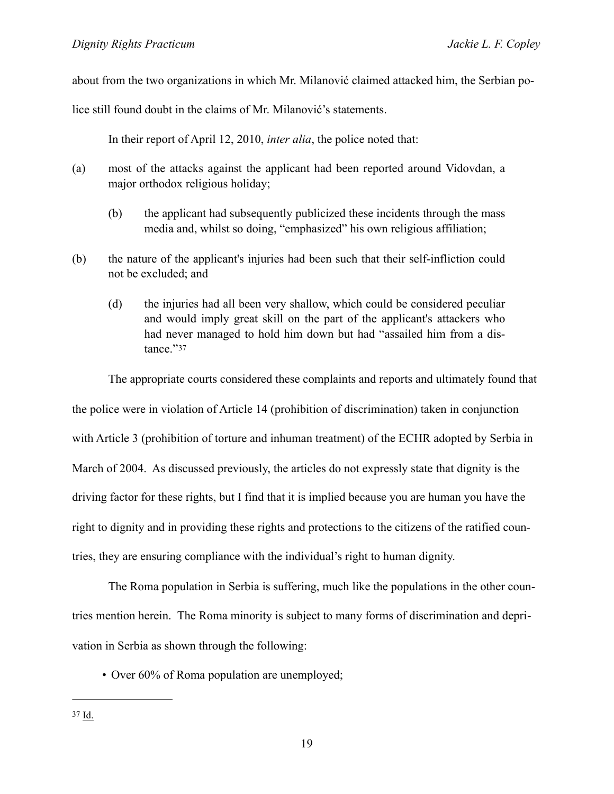about from the two organizations in which Mr. Milanović claimed attacked him, the Serbian po-

lice still found doubt in the claims of Mr. Milanović's statements.

In their report of April 12, 2010, *inter alia*, the police noted that:

- (a) most of the attacks against the applicant had been reported around Vidovdan, a major orthodox religious holiday;
	- (b) the applicant had subsequently publicized these incidents through the mass media and, whilst so doing, "emphasized" his own religious affiliation;
- (b) the nature of the applicant's injuries had been such that their self-infliction could not be excluded; and
	- (d) the injuries had all been very shallow, which could be considered peculiar and would imply great skill on the part of the applicant's attackers who had never managed to hold him down but had "assailed him from a distance."[37](#page-18-0)

<span id="page-18-1"></span> The appropriate courts considered these complaints and reports and ultimately found that the police were in violation of Article 14 (prohibition of discrimination) taken in conjunction with Article 3 (prohibition of torture and inhuman treatment) of the ECHR adopted by Serbia in March of 2004. As discussed previously, the articles do not expressly state that dignity is the driving factor for these rights, but I find that it is implied because you are human you have the right to dignity and in providing these rights and protections to the citizens of the ratified countries, they are ensuring compliance with the individual's right to human dignity.

 The Roma population in Serbia is suffering, much like the populations in the other countries mention herein. The Roma minority is subject to many forms of discrimination and deprivation in Serbia as shown through the following:

<span id="page-18-0"></span>• Over 60% of Roma population are unemployed;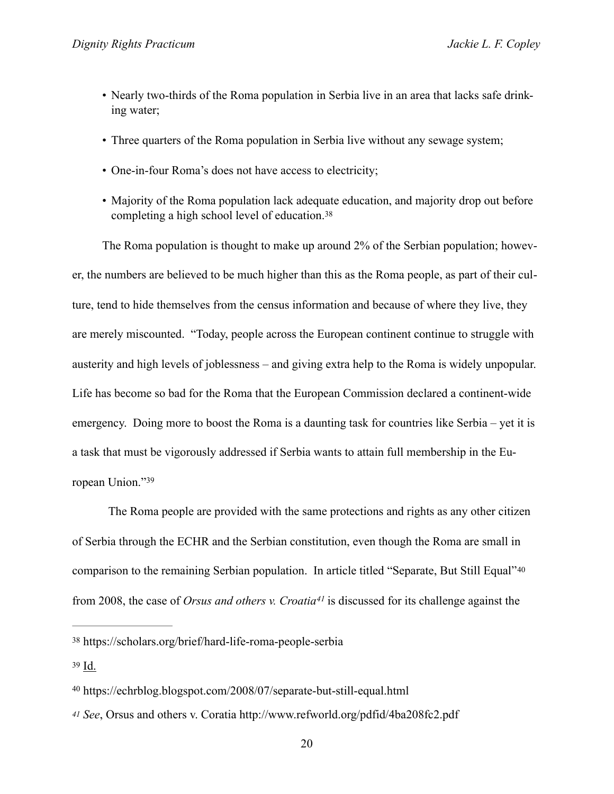- Nearly two-thirds of the Roma population in Serbia live in an area that lacks safe drinking water;
- Three quarters of the Roma population in Serbia live without any sewage system;
- One-in-four Roma's does not have access to electricity;
- <span id="page-19-4"></span>• Majority of the Roma population lack adequate education, and majority drop out before completing a high school level of education.[38](#page-19-0)

The Roma population is thought to make up around 2% of the Serbian population; however, the numbers are believed to be much higher than this as the Roma people, as part of their culture, tend to hide themselves from the census information and because of where they live, they are merely miscounted. "Today, people across the European continent continue to struggle with austerity and high levels of joblessness – and giving extra help to the Roma is widely unpopular. Life has become so bad for the Roma that the European Commission declared a continent-wide emergency. Doing more to boost the Roma is a daunting task for countries like Serbia – yet it is a task that must be vigorously addressed if Serbia wants to attain full membership in the European Union."39

<span id="page-19-6"></span><span id="page-19-5"></span> The Roma people are provided with the same protections and rights as any other citizen of Serbia through the ECHR and the Serbian constitution, even though the Roma are small in comparison to the remaining Serbian population. In article titled "Separate, But Still Equal"[40](#page-19-2) from 2008, the case of *Orsus and others v. Croatia*<sup>[41](#page-19-3)</sup> is discussed for its challenge against the

<span id="page-19-7"></span><span id="page-19-0"></span>https://scholars.org/brief/hard-life-roma-people-serbia [38](#page-19-4)

<span id="page-19-1"></span>[<sup>39</sup>](#page-19-5) Id.

<span id="page-19-2"></span>https://echrblog.blogspot.com/2008/07/separate-but-still-equal.html [40](#page-19-6)

<span id="page-19-3"></span>*[<sup>41</sup>](#page-19-7) See*, Orsus and others v. Coratia http://www.refworld.org/pdfid/4ba208fc2.pdf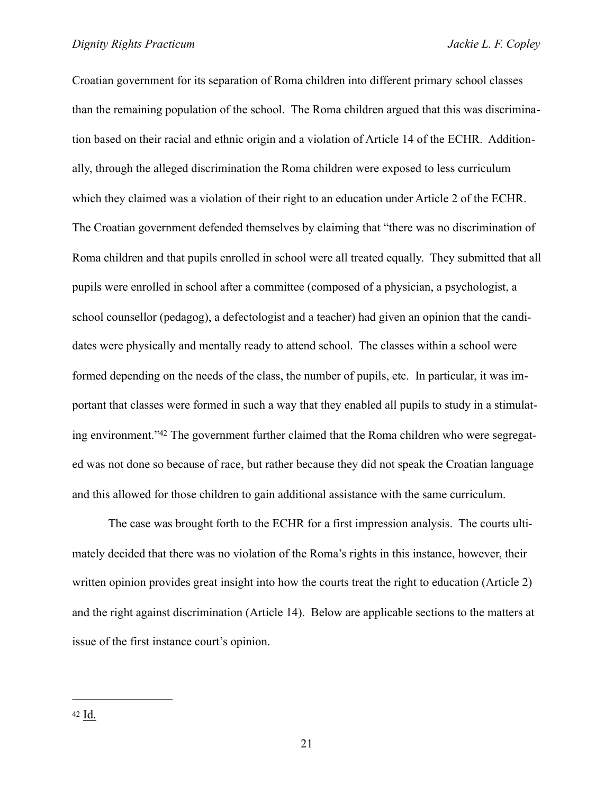Croatian government for its separation of Roma children into different primary school classes than the remaining population of the school. The Roma children argued that this was discrimination based on their racial and ethnic origin and a violation of Article 14 of the ECHR. Additionally, through the alleged discrimination the Roma children were exposed to less curriculum which they claimed was a violation of their right to an education under Article 2 of the ECHR. The Croatian government defended themselves by claiming that "there was no discrimination of Roma children and that pupils enrolled in school were all treated equally. They submitted that all pupils were enrolled in school after a committee (composed of a physician, a psychologist, a school counsellor (pedagog), a defectologist and a teacher) had given an opinion that the candidates were physically and mentally ready to attend school. The classes within a school were formed depending on the needs of the class, the number of pupils, etc. In particular, it was important that classes were formed in such a way that they enabled all pupils to study in a stimulat-ing environment.["](#page-20-0)<sup>42</sup> The government further claimed that the Roma children who were segregated was not done so because of race, but rather because they did not speak the Croatian language and this allowed for those children to gain additional assistance with the same curriculum.

<span id="page-20-1"></span><span id="page-20-0"></span> The case was brought forth to the ECHR for a first impression analysis. The courts ultimately decided that there was no violation of the Roma's rights in this instance, however, their written opinion provides great insight into how the courts treat the right to education (Article 2) and the right against discrimination (Article 14). Below are applicable sections to the matters at issue of the first instance court's opinion.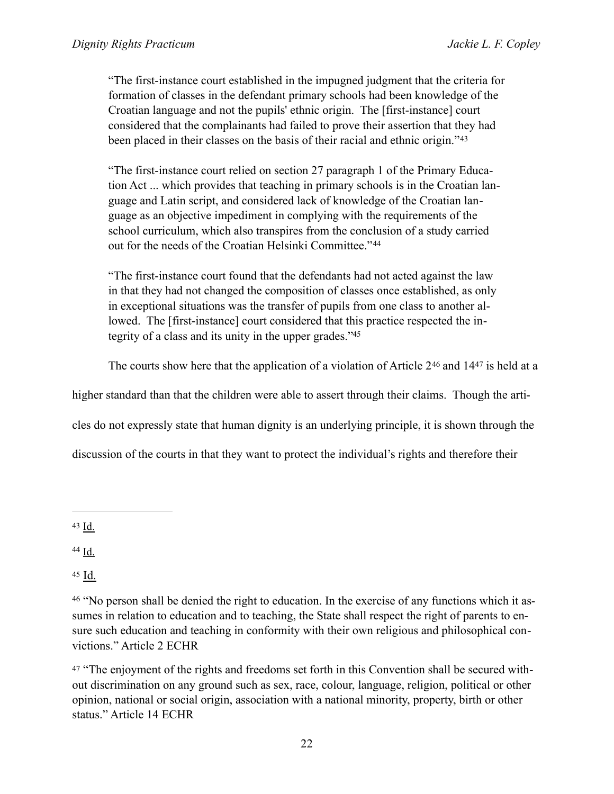"The first-instance court established in the impugned judgment that the criteria for formation of classes in the defendant primary schools had been knowledge of the Croatian language and not the pupils' ethnic origin. The [first-instance] court considered that the complainants had failed to prove their assertion that they had been placed in their classes on the basis of their racial and ethnic origin."[43](#page-21-0)

<span id="page-21-5"></span>"The first-instance court relied on section 27 paragraph 1 of the Primary Education Act ... which provides that teaching in primary schools is in the Croatian language and Latin script, and considered lack of knowledge of the Croatian language as an objective impediment in complying with the requirements of the school curriculum, which also transpires from the conclusion of a study carried out for the needs of the Croatian Helsinki Committee."[44](#page-21-1)

<span id="page-21-6"></span>"The first-instance court found that the defendants had not acted against the law in that they had not changed the composition of classes once established, as only in exceptional situations was the transfer of pupils from one class to another allowed. The [first-instance] court considered that this practice respected the integrity of a class and its unity in the upper grades.["45](#page-21-2)

<span id="page-21-9"></span><span id="page-21-8"></span><span id="page-21-7"></span>Thecourts show here that the application of a violation of Article  $2^{46}$  $2^{46}$  $2^{46}$  and  $14^{47}$  is held at a

higher standard than that the children were able to assert through their claims. Though the arti-

cles do not expressly state that human dignity is an underlying principle, it is shown through the

discussion of the courts in that they want to protect the individual's rights and therefore their

<span id="page-21-0"></span>[43](#page-21-5) Id.

<span id="page-21-1"></span>[44](#page-21-6) Id.

<span id="page-21-2"></span>[45](#page-21-7) Id.

<span id="page-21-3"></span><sup>[46](#page-21-8)</sup> "No person shall be denied the right to education. In the exercise of any functions which it assumes in relation to education and to teaching, the State shall respect the right of parents to ensure such education and teaching in conformity with their own religious and philosophical convictions." Article 2 ECHR

<span id="page-21-4"></span>[47](#page-21-9) "The enjoyment of the rights and freedoms set forth in this Convention shall be secured without discrimination on any ground such as sex, race, colour, language, religion, political or other opinion, national or social origin, association with a national minority, property, birth or other status." Article 14 ECHR